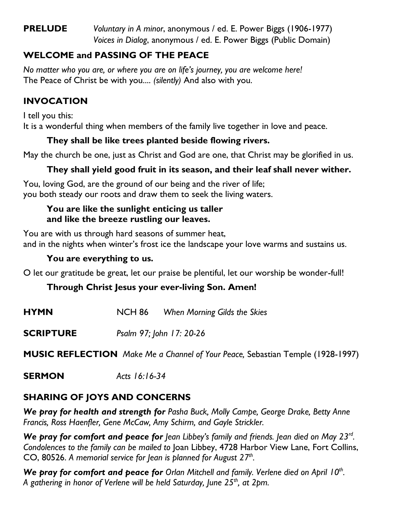## **PRELUDE** *Voluntary in A minor*, anonymous / ed. E. Power Biggs (1906-1977) *Voices in Dialog*, anonymous / ed. E. Power Biggs (Public Domain)

# **WELCOME and PASSING OF THE PEACE**

*No matter who you are, or where you are on life's journey, you are welcome here!* The Peace of Christ be with you.... *(silently)* And also with you.

## **INVOCATION**

I tell you this: It is a wonderful thing when members of the family live together in love and peace.

#### **They shall be like trees planted beside flowing rivers.**

May the church be one, just as Christ and God are one, that Christ may be glorified in us.

## **They shall yield good fruit in its season, and their leaf shall never wither.**

You, loving God, are the ground of our being and the river of life; you both steady our roots and draw them to seek the living waters.

#### **You are like the sunlight enticing us taller and like the breeze rustling our leaves.**

You are with us through hard seasons of summer heat, and in the nights when winter's frost ice the landscape your love warms and sustains us.

#### **You are everything to us.**

O let our gratitude be great, let our praise be plentiful, let our worship be wonder-full!

#### **Through Christ Jesus your ever-living Son. Amen!**

- **HYMN** NCH 86 *When Morning Gilds the Skies*
- **SCRIPTURE** *Psalm 97; John 17: 20-26*

**MUSIC REFLECTION** *Make Me a Channel of Your Peace,* Sebastian Temple (1928-1997)

**SERMON** *Acts 16:16-34*

## **SHARING OF JOYS AND CONCERNS**

*We pray for health and strength for Pasha Buck, Molly Campe, George Drake, Betty Anne Francis, Ross Haenfler, Gene McCaw, Amy Schirm, and Gayle Strickler.*

We pray for comfort and peace for Jean Libbey's family and friends. Jean died on May 23<sup>rd</sup>. *Condolences to the family can be mailed to* Joan Libbey, 4728 Harbor View Lane, Fort Collins, CO, 80526. *A memorial service for Jean is planned for August 27th .*

We pray for comfort and peace for Orlan Mitchell and family. Verlene died on April 10<sup>th</sup>. *A gathering in honor of Verlene will be held Saturday, June 25th, at 2pm.*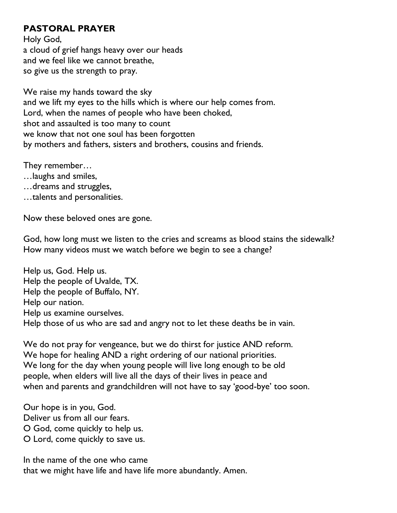#### **PASTORAL PRAYER**

Holy God, a cloud of grief hangs heavy over our heads and we feel like we cannot breathe, so give us the strength to pray.

We raise my hands toward the sky and we lift my eyes to the hills which is where our help comes from. Lord, when the names of people who have been choked, shot and assaulted is too many to count we know that not one soul has been forgotten by mothers and fathers, sisters and brothers, cousins and friends.

They remember…

- …laughs and smiles,
- …dreams and struggles,
- …talents and personalities.

Now these beloved ones are gone.

God, how long must we listen to the cries and screams as blood stains the sidewalk? How many videos must we watch before we begin to see a change?

Help us, God. Help us. Help the people of Uvalde, TX. Help the people of Buffalo, NY. Help our nation. Help us examine ourselves. Help those of us who are sad and angry not to let these deaths be in vain.

We do not pray for vengeance, but we do thirst for justice AND reform. We hope for healing AND a right ordering of our national priorities. We long for the day when young people will live long enough to be old people, when elders will live all the days of their lives in peace and when and parents and grandchildren will not have to say 'good-bye' too soon.

Our hope is in you, God. Deliver us from all our fears. O God, come quickly to help us. O Lord, come quickly to save us.

In the name of the one who came that we might have life and have life more abundantly. Amen.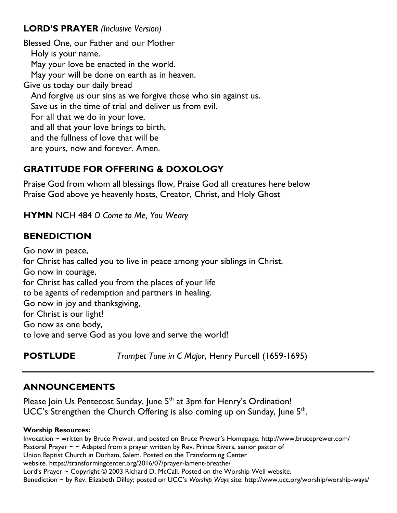## **LORD'S PRAYER** *(Inclusive Version)*

Blessed One, our Father and our Mother Holy is your name. May your love be enacted in the world. May your will be done on earth as in heaven. Give us today our daily bread And forgive us our sins as we forgive those who sin against us. Save us in the time of trial and deliver us from evil. For all that we do in your love, and all that your love brings to birth, and the fullness of love that will be are yours, now and forever. Amen.

# **GRATITUDE FOR OFFERING & DOXOLOGY**

Praise God from whom all blessings flow, Praise God all creatures here below Praise God above ye heavenly hosts, Creator, Christ, and Holy Ghost

**HYMN** NCH 484 *O Come to Me, You Weary*

# **BENEDICTION**

Go now in peace, for Christ has called you to live in peace among your siblings in Christ. Go now in courage, for Christ has called you from the places of your life to be agents of redemption and partners in healing. Go now in joy and thanksgiving, for Christ is our light! Go now as one body, to love and serve God as you love and serve the world!

**POSTLUDE** *Trumpet Tune in C Major*, Henry Purcell (1659-1695)

# **ANNOUNCEMENTS**

Please Join Us Pentecost Sunday, June 5<sup>th</sup> at 3pm for Henry's Ordination! UCC's Strengthen the Church Offering is also coming up on Sunday, June  $5<sup>th</sup>$ .

#### **Worship Resources:**

Invocation ~ written by Bruce Prewer, and posted on Bruce Prewer's Homepage. <http://www.bruceprewer.com/> Pastoral Prayer  $\sim \sim$  Adapted from a prayer written by Rev. Prince Rivers, senior pastor of Union Baptist Church in Durham, Salem. Posted on the Transforming Center website.<https://transformingcenter.org/2016/07/prayer-lament-breathe/> Lord's Prayer ~ Copyright © 2003 Richard D. McCall. Posted on the [Worship Well](http://www.theworshipwell.org/pdf/WOR_McCall3.pdf) website. Benediction ~ by Rev. Elizabeth Dilley; posted on UCC's *Worship Ways* site.<http://www.ucc.org/worship/worship-ways/>